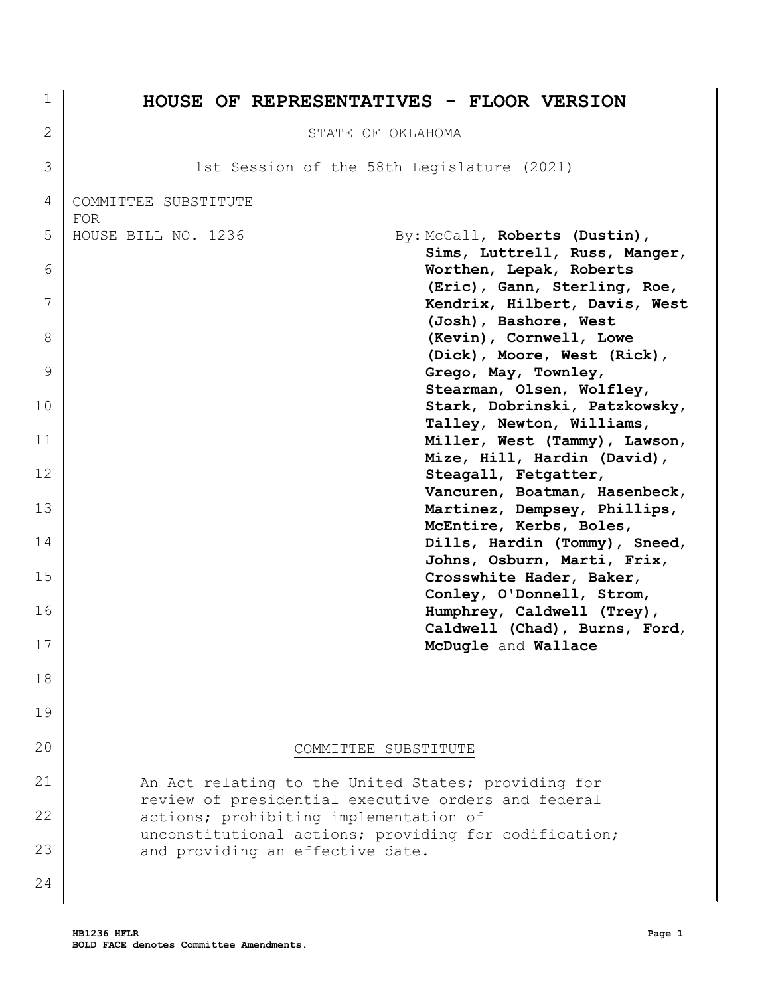| 1      | <b>HOUSE OF REPRESENTATIVES - FLOOR VERSION</b>                                               |
|--------|-----------------------------------------------------------------------------------------------|
| 2      | STATE OF OKLAHOMA                                                                             |
| 3      | 1st Session of the 58th Legislature (2021)                                                    |
| 4      | COMMITTEE SUBSTITUTE                                                                          |
| 5      | <b>FOR</b><br>By: McCall, Roberts (Dustin),<br>HOUSE BILL NO. 1236                            |
| 6      | Sims, Luttrell, Russ, Manger,<br>Worthen, Lepak, Roberts<br>(Eric), Gann, Sterling, Roe,      |
| 7<br>8 | Kendrix, Hilbert, Davis, West<br>(Josh), Bashore, West<br>(Kevin), Cornwell, Lowe             |
| 9      | (Dick), Moore, West (Rick),<br>Grego, May, Townley,                                           |
| 10     | Stearman, Olsen, Wolfley,<br>Stark, Dobrinski, Patzkowsky,                                    |
| 11     | Talley, Newton, Williams,<br>Miller, West (Tammy), Lawson,                                    |
| 12     | Mize, Hill, Hardin (David),<br>Steagall, Fetgatter,                                           |
| 13     | Vancuren, Boatman, Hasenbeck,<br>Martinez, Dempsey, Phillips,                                 |
| 14     | McEntire, Kerbs, Boles,<br>Dills, Hardin (Tommy), Sneed,                                      |
| 15     | Johns, Osburn, Marti, Frix,<br>Crosswhite Hader, Baker,                                       |
| 16     | Conley, O'Donnell, Strom,<br>Humphrey, Caldwell (Trey),                                       |
| 17     | Caldwell (Chad), Burns, Ford,<br>McDugle and Wallace                                          |
| 18     |                                                                                               |
| 19     |                                                                                               |
| 20     | COMMITTEE SUBSTITUTE                                                                          |
| 21     | An Act relating to the United States; providing for                                           |
| 22     | review of presidential executive orders and federal<br>actions; prohibiting implementation of |
| 23     | unconstitutional actions; providing for codification;<br>and providing an effective date.     |
| 24     |                                                                                               |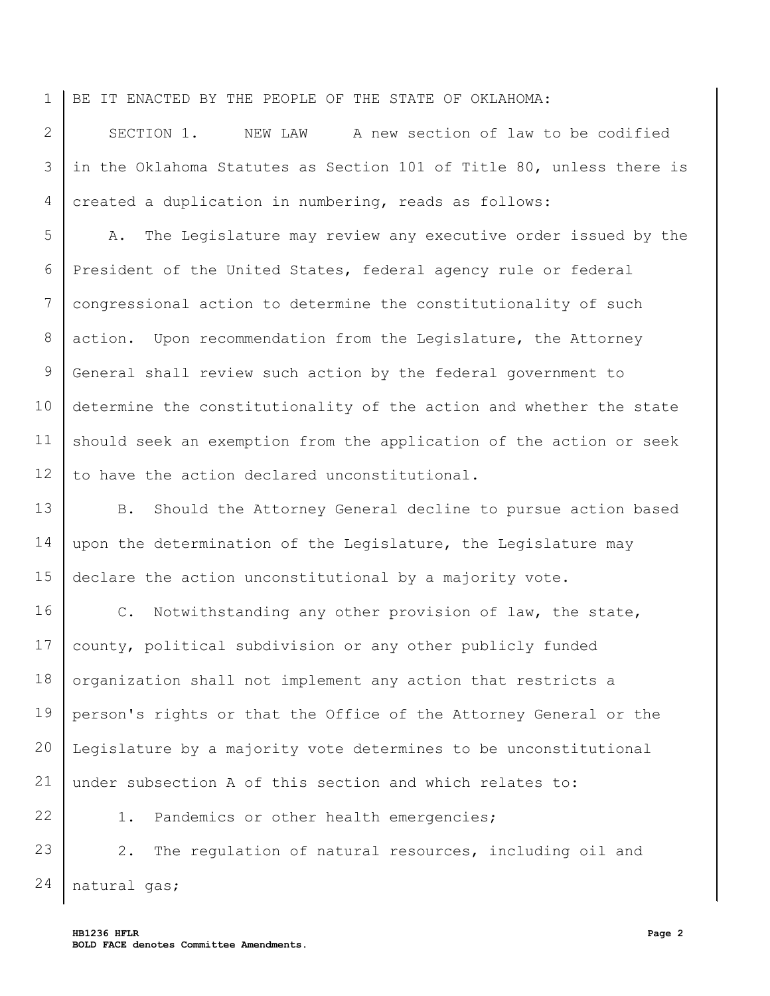1 BE IT ENACTED BY THE PEOPLE OF THE STATE OF OKLAHOMA:

2 3 4 SECTION 1. NEW LAW A new section of law to be codified in the Oklahoma Statutes as Section 101 of Title 80, unless there is created a duplication in numbering, reads as follows:

5 6 7 8 9 10 11 12 A. The Legislature may review any executive order issued by the President of the United States, federal agency rule or federal congressional action to determine the constitutionality of such action. Upon recommendation from the Legislature, the Attorney General shall review such action by the federal government to determine the constitutionality of the action and whether the state should seek an exemption from the application of the action or seek to have the action declared unconstitutional.

13 14 15 B. Should the Attorney General decline to pursue action based upon the determination of the Legislature, the Legislature may declare the action unconstitutional by a majority vote.

16 17 18 19 20 21 C. Notwithstanding any other provision of law, the state, county, political subdivision or any other publicly funded organization shall not implement any action that restricts a person's rights or that the Office of the Attorney General or the Legislature by a majority vote determines to be unconstitutional under subsection A of this section and which relates to:

1. Pandemics or other health emergencies;

23 24 2. The regulation of natural resources, including oil and natural gas;

22